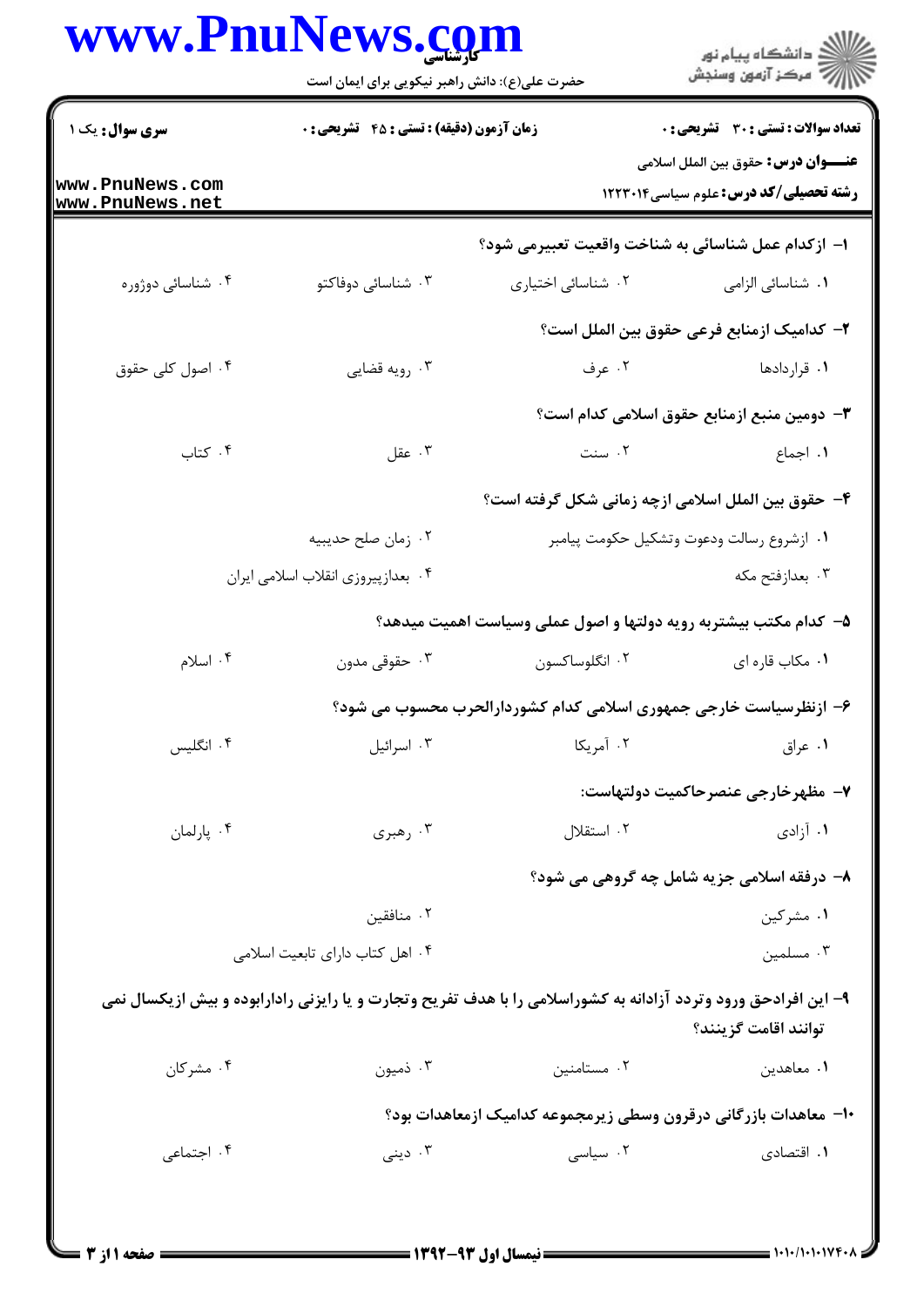## www.PnuNews.com

|                                    | حضرت علی(ع): دانش راهبر نیکویی برای ایمان است    |                                                                                                                 | ڪ دانشڪاه پيام نور<br>∕7 مرڪز آزمون وسنڊش                                                   |
|------------------------------------|--------------------------------------------------|-----------------------------------------------------------------------------------------------------------------|---------------------------------------------------------------------------------------------|
| <b>سری سوال :</b> یک ۱             | <b>زمان آزمون (دقیقه) : تستی : 45 تشریحی : 0</b> |                                                                                                                 | تعداد سوالات : تستي : 30 - تشريحي : 0                                                       |
| www.PnuNews.com<br>www.PnuNews.net |                                                  |                                                                                                                 | <b>عنــــوان درس:</b> حقوق بين الملل اسلامي<br><b>رشته تحصیلی/کد درس:</b> علوم سیاسی1۲۲۳۰۱۴ |
|                                    |                                                  | ا– ازكدام عمل شناسائي به شناخت واقعيت تعبيرمي شود؟                                                              |                                                                                             |
| ۰۴ شناسائی دوژوره                  | ۰۳ شناسائی دوفاکتو                               | ٠٢ شناسائی اختياری                                                                                              | <b>۱</b> . شناسائی الزامی                                                                   |
|                                    |                                                  |                                                                                                                 | ۲– کدامیک ازمنابع فرعی حقوق بین الملل است؟                                                  |
| ۰۴ اصول کلی حقوق                   | ۰۳ رویه قضایی                                    |                                                                                                                 | ۰۱ قراردادها میست است که برف                                                                |
|                                    |                                                  |                                                                                                                 | <b>۳</b> – دومین منبع ازمنابع حقوق اسلامی کدام است؟                                         |
| ۰۴ کتاب                            | ۰۳ عقل                                           | ٢. سنت                                                                                                          | ۰۱ اجماع                                                                                    |
|                                    |                                                  | ۴– حقوق بین الملل اسلامی ازچه زمانی شکل گرفته است؟                                                              |                                                                                             |
|                                    | ۰۲ زمان صلح حديبيه                               |                                                                                                                 | ٠١ ازشروع رسالت ودعوت وتشكيل حكومت پيامبر                                                   |
|                                    | ۰۴ بعدازپیروزی انقلاب اسلامی ایران               |                                                                                                                 | ۰۳ بعدازفتح مکه                                                                             |
|                                    |                                                  | ۵– کدام مکتب بیشتربه رویه دولتها و اصول عملی وسیاست اهمیت میدهد؟                                                |                                                                                             |
| ۰۴ اسلام                           | ۰۳ حقوقی مدون                                    | ۰۲ انگلوساکسون                                                                                                  | ٠١. مكاب قاره اي                                                                            |
|                                    |                                                  | ۶– ازنظرسیاست خارجی جمهوری اسلامی کدام کشوردارالحرب محسوب می شود؟                                               |                                                                                             |
| ۰۴ انگلیس                          | ۰۳ اسرائيل                                       | ۰۲ آمریکا                                                                                                       | ۰۱ عراق                                                                                     |
|                                    |                                                  |                                                                                                                 | ٧- مظهرخارجي عنصرحاكميت دولتهاست:                                                           |
| ۰۴ پارلمان                         | ۰۳ رهبری                                         | ۰۲ استقلال                                                                                                      | ۰۱ آزادی                                                                                    |
|                                    |                                                  |                                                                                                                 | ۸- درفقه اسلامی جزیه شامل چه گروهی می شود؟                                                  |
|                                    | ۰۲ منافقین                                       |                                                                                                                 | ۰۱ مشرکین                                                                                   |
|                                    | ۰۴ اهل کتاب دارای تابعیت اسلامی                  |                                                                                                                 | ۰۳ مسلمین                                                                                   |
|                                    |                                                  | ۹- این افرادحق ورود وتردد آزادانه به کشوراسلامی را با هدف تفریح وتجارت و یا رایزنی رادارابوده و بیش ازیکسال نمی | توانند اقامت گزينند؟                                                                        |
| ۰۴ مشرکان                          | ۰۳ ذمیون                                         | ۰۲ مستامنین                                                                                                     | ۰۱ معاهدين                                                                                  |
|                                    |                                                  | ∙ا− معاهدات بازرگانی درقرون وسطی زیرمجموعه کدامیک ازمعاهدات بود؟                                                |                                                                                             |
| ۰۴ اجتماعی                         | دينى $\cdot$ ۳                                   | ۰۲ سیاسی                                                                                                        | ۰۱ اقتصادی                                                                                  |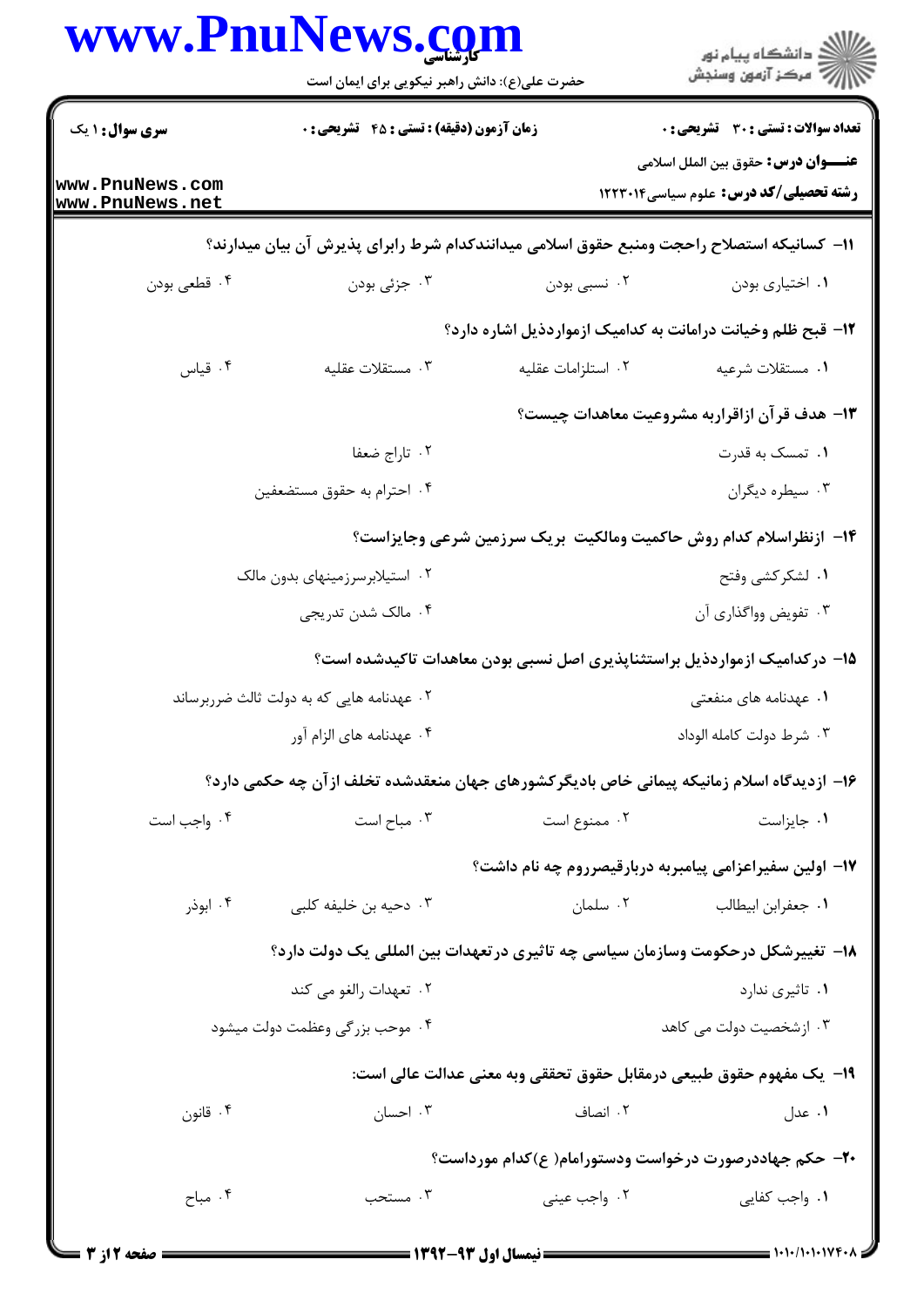|                                           | www.PnuNews.com<br>حضرت علی(ع): دانش راهبر نیکویی برای ایمان است                          |                                                       | ڪ دانشڪاه پيام نور<br>ر∕⊂ مرڪز آزمون وسنڊش                                                                                                                                                                                                                                                                                                                                                                            |
|-------------------------------------------|-------------------------------------------------------------------------------------------|-------------------------------------------------------|-----------------------------------------------------------------------------------------------------------------------------------------------------------------------------------------------------------------------------------------------------------------------------------------------------------------------------------------------------------------------------------------------------------------------|
| <b>سری سوال : ۱ یک</b>                    | زمان آزمون (دقیقه) : تستی : 45 آتشریحی : 0                                                |                                                       | تعداد سوالات : تستى : 30 - تشريحي : 0                                                                                                                                                                                                                                                                                                                                                                                 |
| www.PnuNews.com<br>www.PnuNews.net        |                                                                                           |                                                       | <b>عنــــوان درس:</b> حقوق بين الملل اسلامي<br><b>رشته تحصیلی/کد درس:</b> علوم سیاسی1۲۲۳۰۱۴                                                                                                                                                                                                                                                                                                                           |
|                                           | 11– كسانيكه استصلاح راحجت ومنبع حقوق اسلامي ميدانندكدام شرط رابراي پذيرش آن بيان ميدارند؟ |                                                       |                                                                                                                                                                                                                                                                                                                                                                                                                       |
| ۰۴ قطعی بودن                              | ۰۳ جزئی بودن                                                                              | ۰۲ نسبي بودن                                          | ۰۱ اختیاری بودن                                                                                                                                                                                                                                                                                                                                                                                                       |
|                                           |                                                                                           |                                                       | ۱۲- قبح ظلم وخیانت درامانت به کدامیک ازمواردذیل اشاره دارد؟                                                                                                                                                                                                                                                                                                                                                           |
| ۰۴ قياس                                   | ۰۳ مستقلات عقلیه                                                                          | ٢. استلزامات عقليه                                    | ٠١ مستقلات شرعيه                                                                                                                                                                                                                                                                                                                                                                                                      |
|                                           |                                                                                           |                                                       | ۱۳– هدف قرآن ازاقراربه مشروعیت معاهدات چیست؟                                                                                                                                                                                                                                                                                                                                                                          |
|                                           | ۰۲ تاراج ضعفا                                                                             |                                                       | ۰۱ تمسک به قدرت                                                                                                                                                                                                                                                                                                                                                                                                       |
|                                           | ۰۴ احترام به حقوق مستضعفين                                                                |                                                       | ۰۳ سیطره دیگران                                                                                                                                                                                                                                                                                                                                                                                                       |
|                                           |                                                                                           |                                                       | ۱۴– ازنظراسلام کدام روش حاکمیت ومالکیت بریک سرزمین شرعی وجایزاست؟                                                                                                                                                                                                                                                                                                                                                     |
| ۰۲ استیلابرسرزمینهای بدون مالک            |                                                                                           |                                                       | ١. لشكركشي وفتح                                                                                                                                                                                                                                                                                                                                                                                                       |
|                                           | ۰۴ مالک شدن تدریجی                                                                        |                                                       | ۰۳ تفویض وواگذاری آن                                                                                                                                                                                                                                                                                                                                                                                                  |
|                                           |                                                                                           |                                                       | ۱۵– درکدامیک ازمواردذیل براستثناپذیری اصل نسبی بودن معاهدات تاکیدشده است؟                                                                                                                                                                                                                                                                                                                                             |
| ۰۲ عهدنامه هایی که به دولت ثالث ضرربرساند |                                                                                           |                                                       | ۰۱ عهدنامه های منفعتی                                                                                                                                                                                                                                                                                                                                                                                                 |
|                                           | ۰۴ عهدنامه های الزام آور                                                                  |                                                       | ۰۳ شرط دولت كامله الوداد                                                                                                                                                                                                                                                                                                                                                                                              |
|                                           | ۱۶– ازدیدگاه اسلام زمانیکه پیمانی خاص بادیگرکشورهای جهان منعقدشده تخلف ازآن چه حکمی دارد؟ |                                                       |                                                                                                                                                                                                                                                                                                                                                                                                                       |
| ۰۴ واجب است                               | ۰۳ مباح است                                                                               | ۰۲ ممنوع است                                          | ۰۱ جایزاست                                                                                                                                                                                                                                                                                                                                                                                                            |
|                                           |                                                                                           |                                                       | ۱۷– اولین سفیراعزامی پیامبربه دربارقیصرروم چه نام داشت؟                                                                                                                                                                                                                                                                                                                                                               |
| ۰۴ ابوذر                                  | ۰۳ دحیه بن خلیفه کلبی                                                                     | ۰۲ سلمان                                              | ٠١ جعفرابن ابيطالب                                                                                                                                                                                                                                                                                                                                                                                                    |
|                                           | ۱۸– تغییرشکل درحکومت وسازمان سیاسی چه تاثیری در تعهدات بین المللی یک دولت دارد؟           |                                                       |                                                                                                                                                                                                                                                                                                                                                                                                                       |
|                                           | ۰۲ تعهدات رالغو می کند                                                                    |                                                       | ۰۱ تاثیری ندارد                                                                                                                                                                                                                                                                                                                                                                                                       |
|                                           | ۰۴ موحب بزرگی وعظمت دولت میشود                                                            |                                                       | ۰۳ ازشخصیت دولت می کاهد                                                                                                                                                                                                                                                                                                                                                                                               |
|                                           |                                                                                           |                                                       | 19-  يك مفهوم حقوق طبيعي درمقابل حقوق تحققي وبه معنى عدالت عالي است:                                                                                                                                                                                                                                                                                                                                                  |
| ۰۴ قانون                                  | ۰۳ احسان                                                                                  | ۲. انصاف                                              | ۰۱ عدل                                                                                                                                                                                                                                                                                                                                                                                                                |
|                                           |                                                                                           |                                                       | ۲۰– حکم جهاددرصورت درخواست ودستورامام( ع)کدام مورداست؟                                                                                                                                                                                                                                                                                                                                                                |
| ۰۴ مباح                                   | ۰۳ مستحب                                                                                  | ۰۲ واجب عيني                                          | ۰۱ واجب کفایی                                                                                                                                                                                                                                                                                                                                                                                                         |
| <b>- صفحه 12; 3</b>                       |                                                                                           | ـــــــــــــــــــــــ نیمسال اول ۹۳-۱۳۹۲ ــــــــــ | $\frac{1}{1-\frac{1}{1-\frac{1}{1-\frac{1}{1-\frac{1}{1-\frac{1}{1-\frac{1}{1-\frac{1}{1-\frac{1}{1-\frac{1}{1-\frac{1}{1-\frac{1}{1-\frac{1}{1-\frac{1}{1-\frac{1}{1-\frac{1}{1-\frac{1}{1-\frac{1}{1-\frac{1}{1-\frac{1}{1-\frac{1}{1-\frac{1}{1-\frac{1}{1-\frac{1}{1-\frac{1}{1-\frac{1}{1-\frac{1}{1-\frac{1}{1-\frac{1}{1-\frac{1}{1-\frac{1}{1-\frac{1}{1-\frac{1}{1-\frac{1}{1-\frac{1}{1-\frac{1}{1-\frac{1$ |